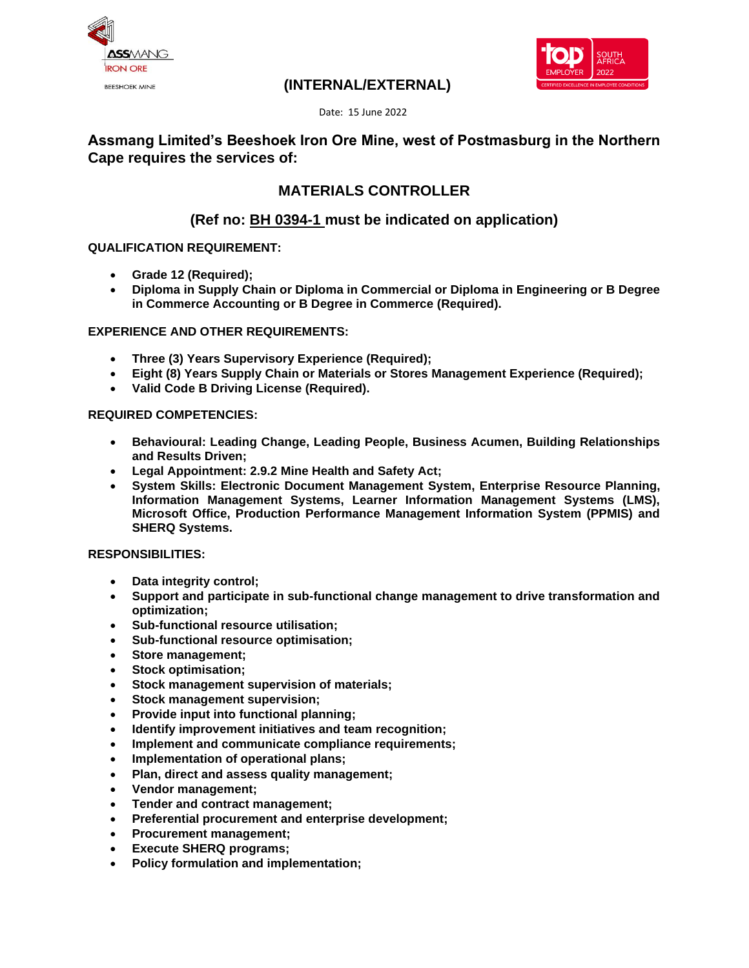



### **(INTERNAL/EXTERNAL)**

Date: 15 June 2022

## **Assmang Limited's Beeshoek Iron Ore Mine, west of Postmasburg in the Northern Cape requires the services of:**

# **MATERIALS CONTROLLER**

# **(Ref no: BH 0394-1 must be indicated on application)**

### **QUALIFICATION REQUIREMENT:**

- **Grade 12 (Required);**
- **Diploma in Supply Chain or Diploma in Commercial or Diploma in Engineering or B Degree in Commerce Accounting or B Degree in Commerce (Required).**

#### **EXPERIENCE AND OTHER REQUIREMENTS:**

- **Three (3) Years Supervisory Experience (Required);**
- **Eight (8) Years Supply Chain or Materials or Stores Management Experience (Required);**
- **Valid Code B Driving License (Required).**

#### **REQUIRED COMPETENCIES:**

- **Behavioural: Leading Change, Leading People, Business Acumen, Building Relationships and Results Driven;**
- **Legal Appointment: 2.9.2 Mine Health and Safety Act;**
- **System Skills: Electronic Document Management System, Enterprise Resource Planning, Information Management Systems, Learner Information Management Systems (LMS), Microsoft Office, Production Performance Management Information System (PPMIS) and SHERQ Systems.**

#### **RESPONSIBILITIES:**

- **Data integrity control;**
- **Support and participate in sub-functional change management to drive transformation and optimization;**
- **Sub-functional resource utilisation;**
- **Sub-functional resource optimisation;**
- **Store management;**
- **Stock optimisation;**
- **Stock management supervision of materials;**
- **Stock management supervision;**
- **Provide input into functional planning;**
- **Identify improvement initiatives and team recognition;**
- **Implement and communicate compliance requirements;**
- **Implementation of operational plans;**
- **Plan, direct and assess quality management;**
- **Vendor management;**
- **Tender and contract management;**
- **Preferential procurement and enterprise development;**
- **Procurement management;**
- **Execute SHERQ programs;**
- **Policy formulation and implementation;**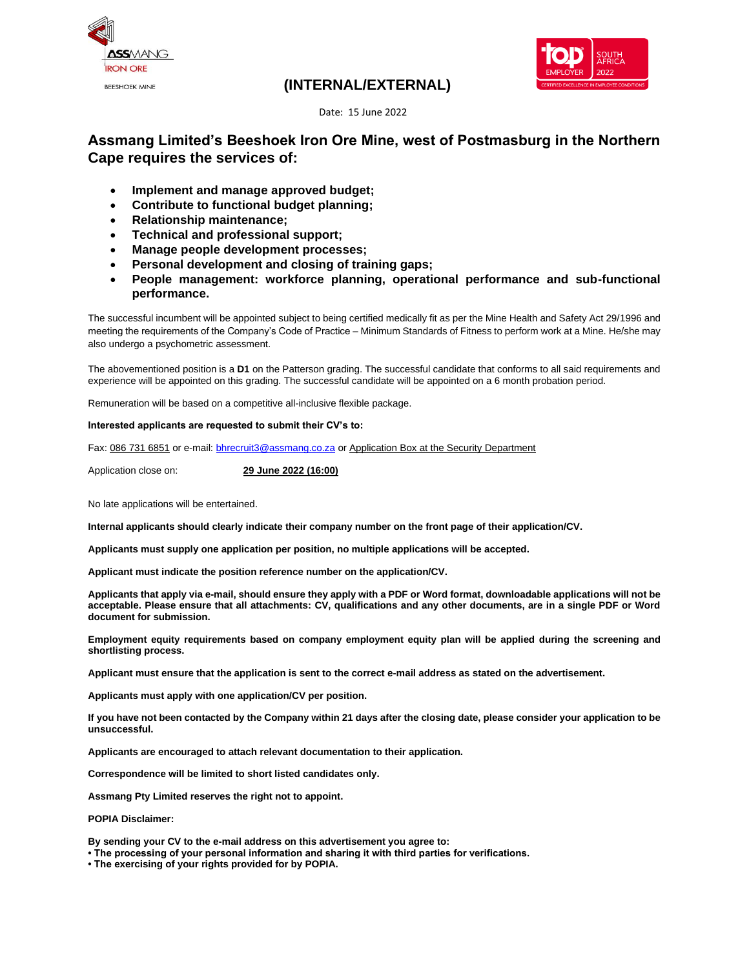

### **(INTERNAL/EXTERNAL)**



Date: 15 June 2022

### **Assmang Limited's Beeshoek Iron Ore Mine, west of Postmasburg in the Northern Cape requires the services of:**

- **Implement and manage approved budget;**
- **Contribute to functional budget planning;**
- **Relationship maintenance;**
- **Technical and professional support;**
- **Manage people development processes;**
- **Personal development and closing of training gaps;**
- **People management: workforce planning, operational performance and sub-functional performance.**

The successful incumbent will be appointed subject to being certified medically fit as per the Mine Health and Safety Act 29/1996 and meeting the requirements of the Company's Code of Practice – Minimum Standards of Fitness to perform work at a Mine. He/she may also undergo a psychometric assessment.

The abovementioned position is a **D1** on the Patterson grading. The successful candidate that conforms to all said requirements and experience will be appointed on this grading. The successful candidate will be appointed on a 6 month probation period.

Remuneration will be based on a competitive all-inclusive flexible package.

#### **Interested applicants are requested to submit their CV's to:**

Fax: 086 731 6851 or e-mail[: bhrecruit3@assmang.co.za](mailto:bhrecruit3@assmang.co.za) or Application Box at the Security Department

Application close on: **29 June 2022 (16:00)**

No late applications will be entertained.

**Internal applicants should clearly indicate their company number on the front page of their application/CV.**

**Applicants must supply one application per position, no multiple applications will be accepted.**

**Applicant must indicate the position reference number on the application/CV.**

**Applicants that apply via e-mail, should ensure they apply with a PDF or Word format, downloadable applications will not be acceptable. Please ensure that all attachments: CV, qualifications and any other documents, are in a single PDF or Word document for submission.**

**Employment equity requirements based on company employment equity plan will be applied during the screening and shortlisting process.**

**Applicant must ensure that the application is sent to the correct e-mail address as stated on the advertisement.**

**Applicants must apply with one application/CV per position.**

**If you have not been contacted by the Company within 21 days after the closing date, please consider your application to be unsuccessful.**

**Applicants are encouraged to attach relevant documentation to their application.**

**Correspondence will be limited to short listed candidates only.**

**Assmang Pty Limited reserves the right not to appoint.**

**POPIA Disclaimer:**

**By sending your CV to the e-mail address on this advertisement you agree to:**

**• The processing of your personal information and sharing it with third parties for verifications.**

**• The exercising of your rights provided for by POPIA.**